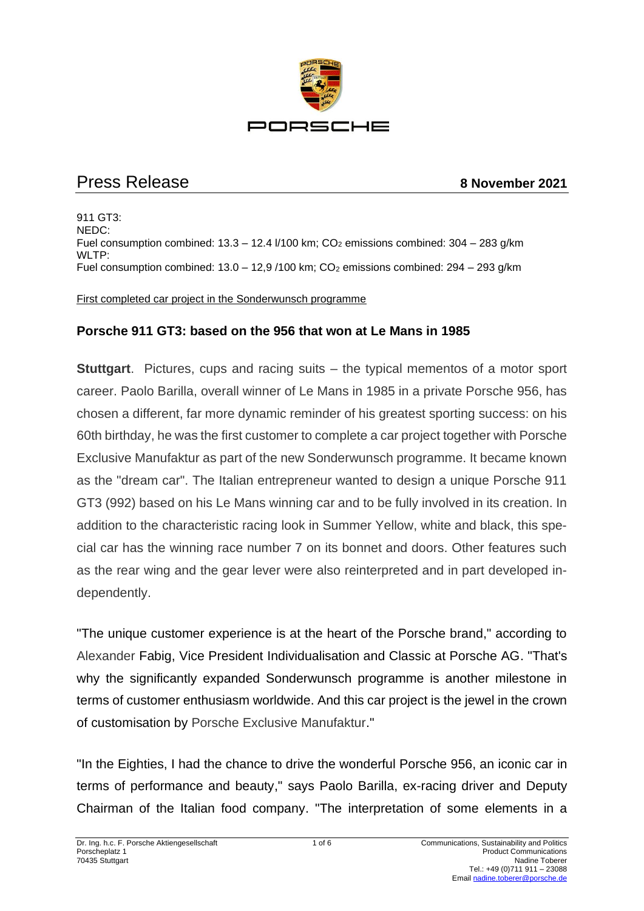

# Press Release **8 November 2021**

911 GT3: NEDC: Fuel consumption combined:  $13.3 - 12.4$   $V/100$  km;  $CO<sub>2</sub>$  emissions combined:  $304 - 283$  g/km WLTP: Fuel consumption combined:  $13.0 - 12.9 / 100$  km;  $CO<sub>2</sub>$  emissions combined:  $294 - 293$  g/km

First completed car project in the Sonderwunsch programme

#### **Porsche 911 GT3: based on the 956 that won at Le Mans in 1985**

**Stuttgart**. Pictures, cups and racing suits – the typical mementos of a motor sport career. Paolo Barilla, overall winner of Le Mans in 1985 in a private Porsche 956, has chosen a different, far more dynamic reminder of his greatest sporting success: on his 60th birthday, he was the first customer to complete a car project together with Porsche Exclusive Manufaktur as part of the new Sonderwunsch programme. It became known as the "dream car". The Italian entrepreneur wanted to design a unique Porsche 911 GT3 (992) based on his Le Mans winning car and to be fully involved in its creation. In addition to the characteristic racing look in Summer Yellow, white and black, this special car has the winning race number 7 on its bonnet and doors. Other features such as the rear wing and the gear lever were also reinterpreted and in part developed independently.

"The unique customer experience is at the heart of the Porsche brand," according to Alexander Fabig, Vice President Individualisation and Classic at Porsche AG. "That's why the significantly expanded Sonderwunsch programme is another milestone in terms of customer enthusiasm worldwide. And this car project is the jewel in the crown of customisation by Porsche Exclusive Manufaktur."

"In the Eighties, I had the chance to drive the wonderful Porsche 956, an iconic car in terms of performance and beauty," says Paolo Barilla, ex-racing driver and Deputy Chairman of the Italian food company. "The interpretation of some elements in a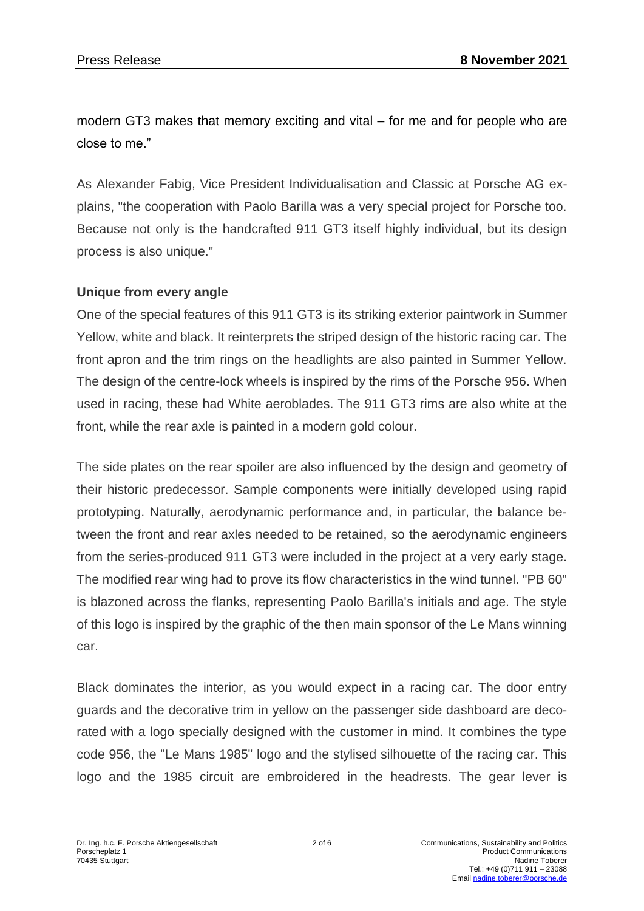modern GT3 makes that memory exciting and vital – for me and for people who are close to me."

As Alexander Fabig, Vice President Individualisation and Classic at Porsche AG explains, "the cooperation with Paolo Barilla was a very special project for Porsche too. Because not only is the handcrafted 911 GT3 itself highly individual, but its design process is also unique."

#### **Unique from every angle**

One of the special features of this 911 GT3 is its striking exterior paintwork in Summer Yellow, white and black. It reinterprets the striped design of the historic racing car. The front apron and the trim rings on the headlights are also painted in Summer Yellow. The design of the centre-lock wheels is inspired by the rims of the Porsche 956. When used in racing, these had White aeroblades. The 911 GT3 rims are also white at the front, while the rear axle is painted in a modern gold colour.

The side plates on the rear spoiler are also influenced by the design and geometry of their historic predecessor. Sample components were initially developed using rapid prototyping. Naturally, aerodynamic performance and, in particular, the balance between the front and rear axles needed to be retained, so the aerodynamic engineers from the series-produced 911 GT3 were included in the project at a very early stage. The modified rear wing had to prove its flow characteristics in the wind tunnel. "PB 60" is blazoned across the flanks, representing Paolo Barilla's initials and age. The style of this logo is inspired by the graphic of the then main sponsor of the Le Mans winning car.

Black dominates the interior, as you would expect in a racing car. The door entry guards and the decorative trim in yellow on the passenger side dashboard are decorated with a logo specially designed with the customer in mind. It combines the type code 956, the "Le Mans 1985" logo and the stylised silhouette of the racing car. This logo and the 1985 circuit are embroidered in the headrests. The gear lever is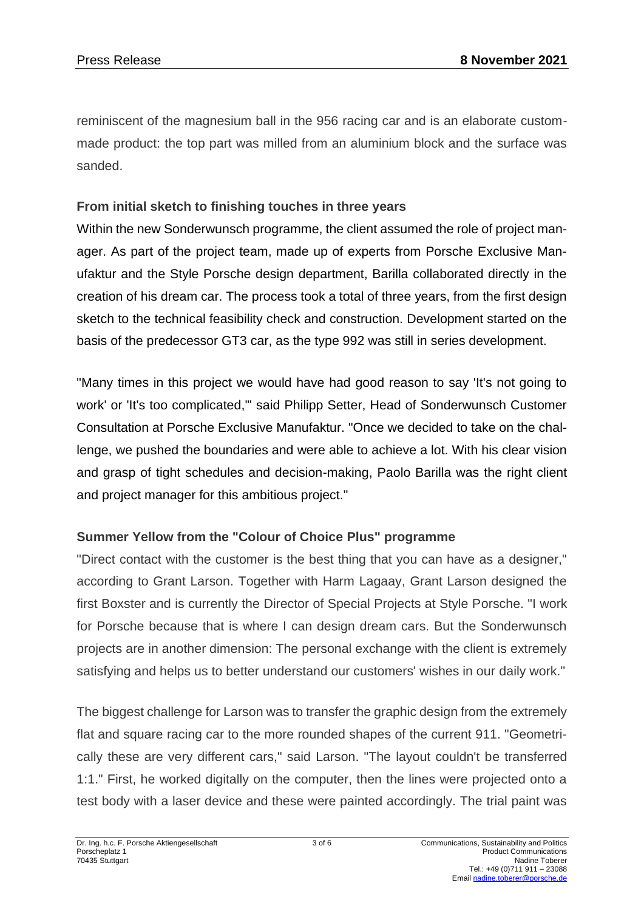reminiscent of the magnesium ball in the 956 racing car and is an elaborate custommade product: the top part was milled from an aluminium block and the surface was sanded.

## **From initial sketch to finishing touches in three years**

Within the new Sonderwunsch programme, the client assumed the role of project manager. As part of the project team, made up of experts from Porsche Exclusive Manufaktur and the Style Porsche design department, Barilla collaborated directly in the creation of his dream car. The process took a total of three years, from the first design sketch to the technical feasibility check and construction. Development started on the basis of the predecessor GT3 car, as the type 992 was still in series development.

"Many times in this project we would have had good reason to say 'It's not going to work' or 'It's too complicated,'" said Philipp Setter, Head of Sonderwunsch Customer Consultation at Porsche Exclusive Manufaktur. "Once we decided to take on the challenge, we pushed the boundaries and were able to achieve a lot. With his clear vision and grasp of tight schedules and decision-making, Paolo Barilla was the right client and project manager for this ambitious project."

## **Summer Yellow from the "Colour of Choice Plus" programme**

"Direct contact with the customer is the best thing that you can have as a designer," according to Grant Larson. Together with Harm Lagaay, Grant Larson designed the first Boxster and is currently the Director of Special Projects at Style Porsche. "I work for Porsche because that is where I can design dream cars. But the Sonderwunsch projects are in another dimension: The personal exchange with the client is extremely satisfying and helps us to better understand our customers' wishes in our daily work."

The biggest challenge for Larson was to transfer the graphic design from the extremely flat and square racing car to the more rounded shapes of the current 911. "Geometrically these are very different cars," said Larson. "The layout couldn't be transferred 1:1." First, he worked digitally on the computer, then the lines were projected onto a test body with a laser device and these were painted accordingly. The trial paint was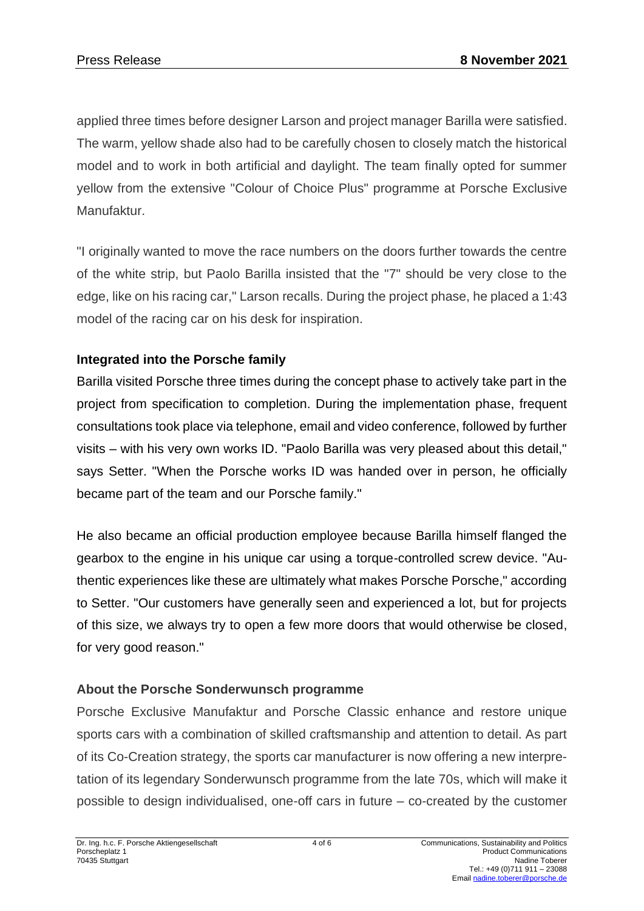applied three times before designer Larson and project manager Barilla were satisfied. The warm, yellow shade also had to be carefully chosen to closely match the historical model and to work in both artificial and daylight. The team finally opted for summer yellow from the extensive "Colour of Choice Plus" programme at Porsche Exclusive Manufaktur.

"I originally wanted to move the race numbers on the doors further towards the centre of the white strip, but Paolo Barilla insisted that the "7" should be very close to the edge, like on his racing car," Larson recalls. During the project phase, he placed a 1:43 model of the racing car on his desk for inspiration.

# **Integrated into the Porsche family**

Barilla visited Porsche three times during the concept phase to actively take part in the project from specification to completion. During the implementation phase, frequent consultations took place via telephone, email and video conference, followed by further visits – with his very own works ID. "Paolo Barilla was very pleased about this detail," says Setter. "When the Porsche works ID was handed over in person, he officially became part of the team and our Porsche family."

He also became an official production employee because Barilla himself flanged the gearbox to the engine in his unique car using a torque-controlled screw device. "Authentic experiences like these are ultimately what makes Porsche Porsche," according to Setter. "Our customers have generally seen and experienced a lot, but for projects of this size, we always try to open a few more doors that would otherwise be closed, for very good reason."

# **About the Porsche Sonderwunsch programme**

Porsche Exclusive Manufaktur and Porsche Classic enhance and restore unique sports cars with a combination of skilled craftsmanship and attention to detail. As part of its Co-Creation strategy, the sports car manufacturer is now offering a new interpretation of its legendary Sonderwunsch programme from the late 70s, which will make it possible to design individualised, one-off cars in future – co-created by the customer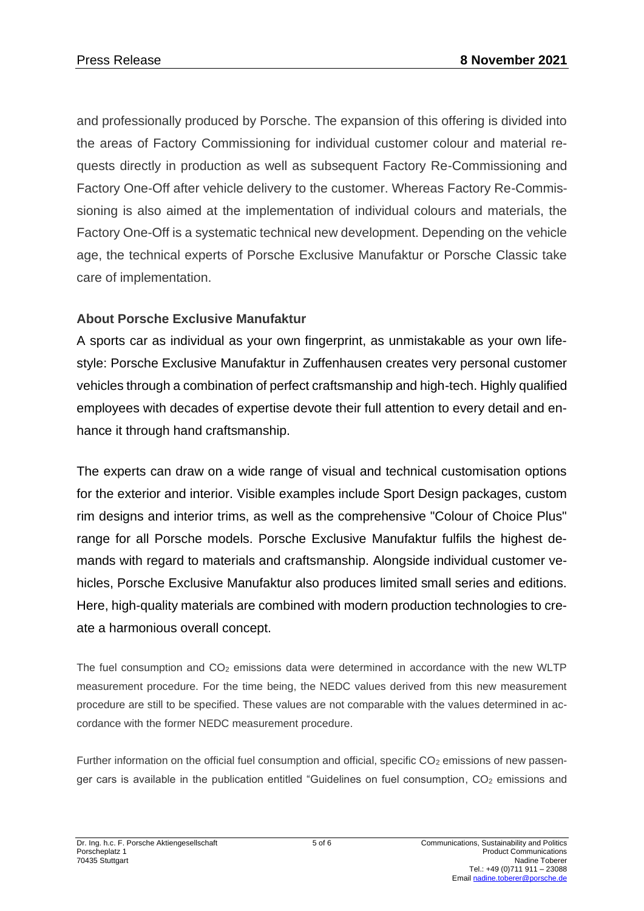and professionally produced by Porsche. The expansion of this offering is divided into the areas of Factory Commissioning for individual customer colour and material requests directly in production as well as subsequent Factory Re-Commissioning and Factory One-Off after vehicle delivery to the customer. Whereas Factory Re-Commissioning is also aimed at the implementation of individual colours and materials, the Factory One-Off is a systematic technical new development. Depending on the vehicle age, the technical experts of Porsche Exclusive Manufaktur or Porsche Classic take care of implementation.

#### **About Porsche Exclusive Manufaktur**

A sports car as individual as your own fingerprint, as unmistakable as your own lifestyle: Porsche Exclusive Manufaktur in Zuffenhausen creates very personal customer vehicles through a combination of perfect craftsmanship and high-tech. Highly qualified employees with decades of expertise devote their full attention to every detail and enhance it through hand craftsmanship.

The experts can draw on a wide range of visual and technical customisation options for the exterior and interior. Visible examples include Sport Design packages, custom rim designs and interior trims, as well as the comprehensive "Colour of Choice Plus" range for all Porsche models. Porsche Exclusive Manufaktur fulfils the highest demands with regard to materials and craftsmanship. Alongside individual customer vehicles, Porsche Exclusive Manufaktur also produces limited small series and editions. Here, high-quality materials are combined with modern production technologies to create a harmonious overall concept.

The fuel consumption and  $CO<sub>2</sub>$  emissions data were determined in accordance with the new WLTP measurement procedure. For the time being, the NEDC values derived from this new measurement procedure are still to be specified. These values are not comparable with the values determined in accordance with the former NEDC measurement procedure.

Further information on the official fuel consumption and official, specific  $CO<sub>2</sub>$  emissions of new passenger cars is available in the publication entitled "Guidelines on fuel consumption, CO<sub>2</sub> emissions and